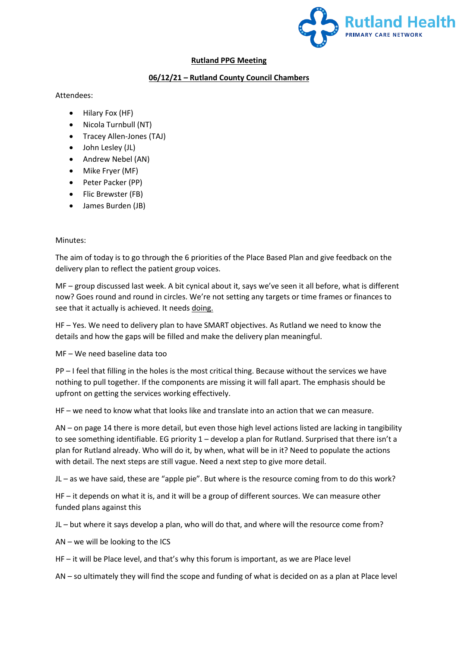

## **Rutland PPG Meeting**

## **06/12/21 – Rutland County Council Chambers**

## Attendees:

- Hilary Fox (HF)
- Nicola Turnbull (NT)
- Tracey Allen-Jones (TAJ)
- John Lesley (JL)
- Andrew Nebel (AN)
- Mike Fryer (MF)
- Peter Packer (PP)
- Flic Brewster (FB)
- James Burden (JB)

## Minutes:

The aim of today is to go through the 6 priorities of the Place Based Plan and give feedback on the delivery plan to reflect the patient group voices.

MF – group discussed last week. A bit cynical about it, says we've seen it all before, what is different now? Goes round and round in circles. We're not setting any targets or time frames or finances to see that it actually is achieved. It needs doing.

HF – Yes. We need to delivery plan to have SMART objectives. As Rutland we need to know the details and how the gaps will be filled and make the delivery plan meaningful.

MF – We need baseline data too

PP – I feel that filling in the holes is the most critical thing. Because without the services we have nothing to pull together. If the components are missing it will fall apart. The emphasis should be upfront on getting the services working effectively.

HF – we need to know what that looks like and translate into an action that we can measure.

AN – on page 14 there is more detail, but even those high level actions listed are lacking in tangibility to see something identifiable. EG priority 1 – develop a plan for Rutland. Surprised that there isn't a plan for Rutland already. Who will do it, by when, what will be in it? Need to populate the actions with detail. The next steps are still vague. Need a next step to give more detail.

JL – as we have said, these are "apple pie". But where is the resource coming from to do this work?

HF – it depends on what it is, and it will be a group of different sources. We can measure other funded plans against this

JL – but where it says develop a plan, who will do that, and where will the resource come from?

AN – we will be looking to the ICS

HF – it will be Place level, and that's why this forum is important, as we are Place level

AN – so ultimately they will find the scope and funding of what is decided on as a plan at Place level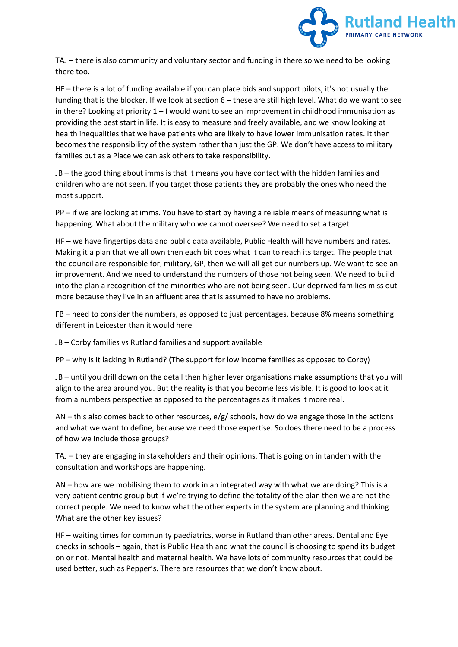

TAJ – there is also community and voluntary sector and funding in there so we need to be looking there too.

HF – there is a lot of funding available if you can place bids and support pilots, it's not usually the funding that is the blocker. If we look at section 6 – these are still high level. What do we want to see in there? Looking at priority  $1 - I$  would want to see an improvement in childhood immunisation as providing the best start in life. It is easy to measure and freely available, and we know looking at health inequalities that we have patients who are likely to have lower immunisation rates. It then becomes the responsibility of the system rather than just the GP. We don't have access to military families but as a Place we can ask others to take responsibility.

JB – the good thing about imms is that it means you have contact with the hidden families and children who are not seen. If you target those patients they are probably the ones who need the most support.

PP – if we are looking at imms. You have to start by having a reliable means of measuring what is happening. What about the military who we cannot oversee? We need to set a target

HF – we have fingertips data and public data available, Public Health will have numbers and rates. Making it a plan that we all own then each bit does what it can to reach its target. The people that the council are responsible for, military, GP, then we will all get our numbers up. We want to see an improvement. And we need to understand the numbers of those not being seen. We need to build into the plan a recognition of the minorities who are not being seen. Our deprived families miss out more because they live in an affluent area that is assumed to have no problems.

FB – need to consider the numbers, as opposed to just percentages, because 8% means something different in Leicester than it would here

JB – Corby families vs Rutland families and support available

PP – why is it lacking in Rutland? (The support for low income families as opposed to Corby)

JB – until you drill down on the detail then higher lever organisations make assumptions that you will align to the area around you. But the reality is that you become less visible. It is good to look at it from a numbers perspective as opposed to the percentages as it makes it more real.

AN – this also comes back to other resources, e/g/ schools, how do we engage those in the actions and what we want to define, because we need those expertise. So does there need to be a process of how we include those groups?

TAJ – they are engaging in stakeholders and their opinions. That is going on in tandem with the consultation and workshops are happening.

AN – how are we mobilising them to work in an integrated way with what we are doing? This is a very patient centric group but if we're trying to define the totality of the plan then we are not the correct people. We need to know what the other experts in the system are planning and thinking. What are the other key issues?

HF – waiting times for community paediatrics, worse in Rutland than other areas. Dental and Eye checks in schools – again, that is Public Health and what the council is choosing to spend its budget on or not. Mental health and maternal health. We have lots of community resources that could be used better, such as Pepper's. There are resources that we don't know about.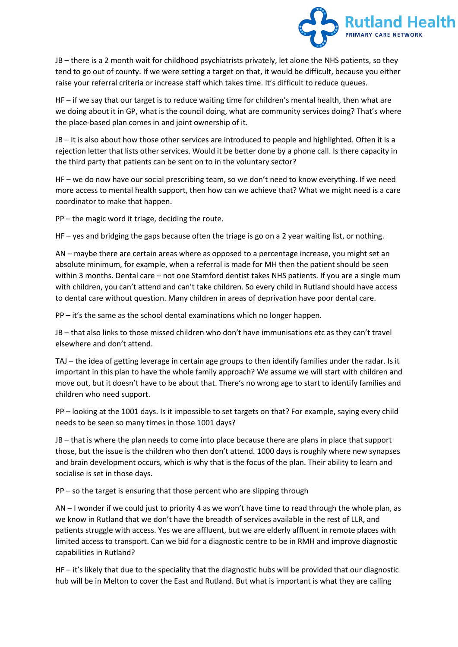

JB – there is a 2 month wait for childhood psychiatrists privately, let alone the NHS patients, so they tend to go out of county. If we were setting a target on that, it would be difficult, because you either raise your referral criteria or increase staff which takes time. It's difficult to reduce queues.

HF – if we say that our target is to reduce waiting time for children's mental health, then what are we doing about it in GP, what is the council doing, what are community services doing? That's where the place-based plan comes in and joint ownership of it.

JB – It is also about how those other services are introduced to people and highlighted. Often it is a rejection letter that lists other services. Would it be better done by a phone call. Is there capacity in the third party that patients can be sent on to in the voluntary sector?

HF – we do now have our social prescribing team, so we don't need to know everything. If we need more access to mental health support, then how can we achieve that? What we might need is a care coordinator to make that happen.

PP – the magic word it triage, deciding the route.

HF – yes and bridging the gaps because often the triage is go on a 2 year waiting list, or nothing.

AN – maybe there are certain areas where as opposed to a percentage increase, you might set an absolute minimum, for example, when a referral is made for MH then the patient should be seen within 3 months. Dental care – not one Stamford dentist takes NHS patients. If you are a single mum with children, you can't attend and can't take children. So every child in Rutland should have access to dental care without question. Many children in areas of deprivation have poor dental care.

PP – it's the same as the school dental examinations which no longer happen.

JB – that also links to those missed children who don't have immunisations etc as they can't travel elsewhere and don't attend.

TAJ – the idea of getting leverage in certain age groups to then identify families under the radar. Is it important in this plan to have the whole family approach? We assume we will start with children and move out, but it doesn't have to be about that. There's no wrong age to start to identify families and children who need support.

PP – looking at the 1001 days. Is it impossible to set targets on that? For example, saying every child needs to be seen so many times in those 1001 days?

JB – that is where the plan needs to come into place because there are plans in place that support those, but the issue is the children who then don't attend. 1000 days is roughly where new synapses and brain development occurs, which is why that is the focus of the plan. Their ability to learn and socialise is set in those days.

PP – so the target is ensuring that those percent who are slipping through

AN – I wonder if we could just to priority 4 as we won't have time to read through the whole plan, as we know in Rutland that we don't have the breadth of services available in the rest of LLR, and patients struggle with access. Yes we are affluent, but we are elderly affluent in remote places with limited access to transport. Can we bid for a diagnostic centre to be in RMH and improve diagnostic capabilities in Rutland?

HF – it's likely that due to the speciality that the diagnostic hubs will be provided that our diagnostic hub will be in Melton to cover the East and Rutland. But what is important is what they are calling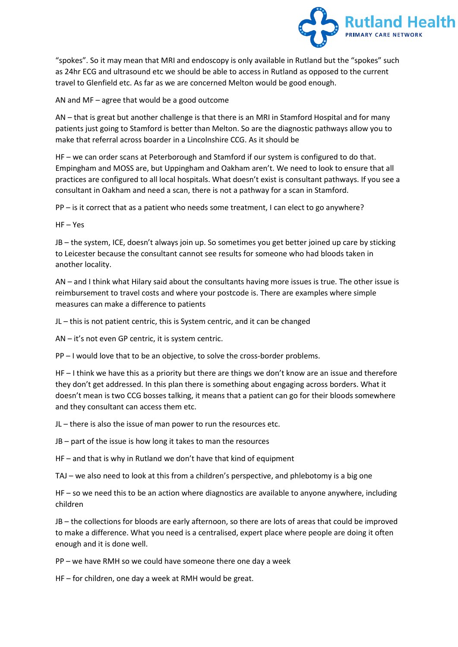

"spokes". So it may mean that MRI and endoscopy is only available in Rutland but the "spokes" such as 24hr ECG and ultrasound etc we should be able to access in Rutland as opposed to the current travel to Glenfield etc. As far as we are concerned Melton would be good enough.

AN and MF – agree that would be a good outcome

AN – that is great but another challenge is that there is an MRI in Stamford Hospital and for many patients just going to Stamford is better than Melton. So are the diagnostic pathways allow you to make that referral across boarder in a Lincolnshire CCG. As it should be

HF – we can order scans at Peterborough and Stamford if our system is configured to do that. Empingham and MOSS are, but Uppingham and Oakham aren't. We need to look to ensure that all practices are configured to all local hospitals. What doesn't exist is consultant pathways. If you see a consultant in Oakham and need a scan, there is not a pathway for a scan in Stamford.

PP – is it correct that as a patient who needs some treatment, I can elect to go anywhere?

HF – Yes

JB – the system, ICE, doesn't always join up. So sometimes you get better joined up care by sticking to Leicester because the consultant cannot see results for someone who had bloods taken in another locality.

AN – and I think what Hilary said about the consultants having more issues is true. The other issue is reimbursement to travel costs and where your postcode is. There are examples where simple measures can make a difference to patients

JL – this is not patient centric, this is System centric, and it can be changed

AN – it's not even GP centric, it is system centric.

PP – I would love that to be an objective, to solve the cross-border problems.

HF – I think we have this as a priority but there are things we don't know are an issue and therefore they don't get addressed. In this plan there is something about engaging across borders. What it doesn't mean is two CCG bosses talking, it means that a patient can go for their bloods somewhere and they consultant can access them etc.

JL – there is also the issue of man power to run the resources etc.

JB – part of the issue is how long it takes to man the resources

HF – and that is why in Rutland we don't have that kind of equipment

TAJ – we also need to look at this from a children's perspective, and phlebotomy is a big one

HF – so we need this to be an action where diagnostics are available to anyone anywhere, including children

JB – the collections for bloods are early afternoon, so there are lots of areas that could be improved to make a difference. What you need is a centralised, expert place where people are doing it often enough and it is done well.

PP – we have RMH so we could have someone there one day a week

HF – for children, one day a week at RMH would be great.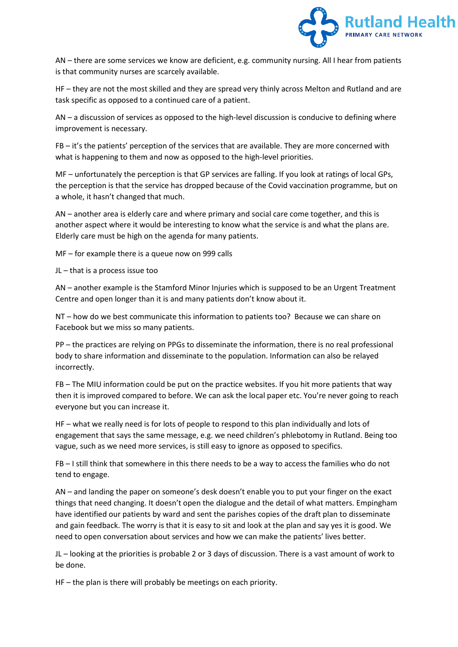

AN – there are some services we know are deficient, e.g. community nursing. All I hear from patients is that community nurses are scarcely available.

HF – they are not the most skilled and they are spread very thinly across Melton and Rutland and are task specific as opposed to a continued care of a patient.

AN – a discussion of services as opposed to the high-level discussion is conducive to defining where improvement is necessary.

FB – it's the patients' perception of the services that are available. They are more concerned with what is happening to them and now as opposed to the high-level priorities.

MF – unfortunately the perception is that GP services are falling. If you look at ratings of local GPs, the perception is that the service has dropped because of the Covid vaccination programme, but on a whole, it hasn't changed that much.

AN – another area is elderly care and where primary and social care come together, and this is another aspect where it would be interesting to know what the service is and what the plans are. Elderly care must be high on the agenda for many patients.

MF – for example there is a queue now on 999 calls

JL – that is a process issue too

AN – another example is the Stamford Minor Injuries which is supposed to be an Urgent Treatment Centre and open longer than it is and many patients don't know about it.

NT – how do we best communicate this information to patients too? Because we can share on Facebook but we miss so many patients.

PP – the practices are relying on PPGs to disseminate the information, there is no real professional body to share information and disseminate to the population. Information can also be relayed incorrectly.

FB – The MIU information could be put on the practice websites. If you hit more patients that way then it is improved compared to before. We can ask the local paper etc. You're never going to reach everyone but you can increase it.

HF – what we really need is for lots of people to respond to this plan individually and lots of engagement that says the same message, e.g. we need children's phlebotomy in Rutland. Being too vague, such as we need more services, is still easy to ignore as opposed to specifics.

FB – I still think that somewhere in this there needs to be a way to access the families who do not tend to engage.

AN – and landing the paper on someone's desk doesn't enable you to put your finger on the exact things that need changing. It doesn't open the dialogue and the detail of what matters. Empingham have identified our patients by ward and sent the parishes copies of the draft plan to disseminate and gain feedback. The worry is that it is easy to sit and look at the plan and say yes it is good. We need to open conversation about services and how we can make the patients' lives better.

JL – looking at the priorities is probable 2 or 3 days of discussion. There is a vast amount of work to be done.

HF – the plan is there will probably be meetings on each priority.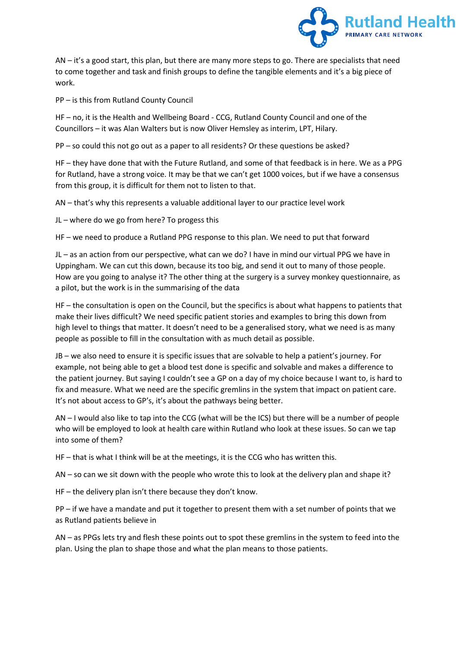

AN – it's a good start, this plan, but there are many more steps to go. There are specialists that need to come together and task and finish groups to define the tangible elements and it's a big piece of work.

PP – is this from Rutland County Council

HF – no, it is the Health and Wellbeing Board - CCG, Rutland County Council and one of the Councillors – it was Alan Walters but is now Oliver Hemsley as interim, LPT, Hilary.

PP – so could this not go out as a paper to all residents? Or these questions be asked?

HF – they have done that with the Future Rutland, and some of that feedback is in here. We as a PPG for Rutland, have a strong voice. It may be that we can't get 1000 voices, but if we have a consensus from this group, it is difficult for them not to listen to that.

AN – that's why this represents a valuable additional layer to our practice level work

JL – where do we go from here? To progess this

HF – we need to produce a Rutland PPG response to this plan. We need to put that forward

JL – as an action from our perspective, what can we do? I have in mind our virtual PPG we have in Uppingham. We can cut this down, because its too big, and send it out to many of those people. How are you going to analyse it? The other thing at the surgery is a survey monkey questionnaire, as a pilot, but the work is in the summarising of the data

HF – the consultation is open on the Council, but the specifics is about what happens to patients that make their lives difficult? We need specific patient stories and examples to bring this down from high level to things that matter. It doesn't need to be a generalised story, what we need is as many people as possible to fill in the consultation with as much detail as possible.

JB – we also need to ensure it is specific issues that are solvable to help a patient's journey. For example, not being able to get a blood test done is specific and solvable and makes a difference to the patient journey. But saying I couldn't see a GP on a day of my choice because I want to, is hard to fix and measure. What we need are the specific gremlins in the system that impact on patient care. It's not about access to GP's, it's about the pathways being better.

AN – I would also like to tap into the CCG (what will be the ICS) but there will be a number of people who will be employed to look at health care within Rutland who look at these issues. So can we tap into some of them?

HF – that is what I think will be at the meetings, it is the CCG who has written this.

AN – so can we sit down with the people who wrote this to look at the delivery plan and shape it?

HF – the delivery plan isn't there because they don't know.

PP – if we have a mandate and put it together to present them with a set number of points that we as Rutland patients believe in

AN – as PPGs lets try and flesh these points out to spot these gremlins in the system to feed into the plan. Using the plan to shape those and what the plan means to those patients.